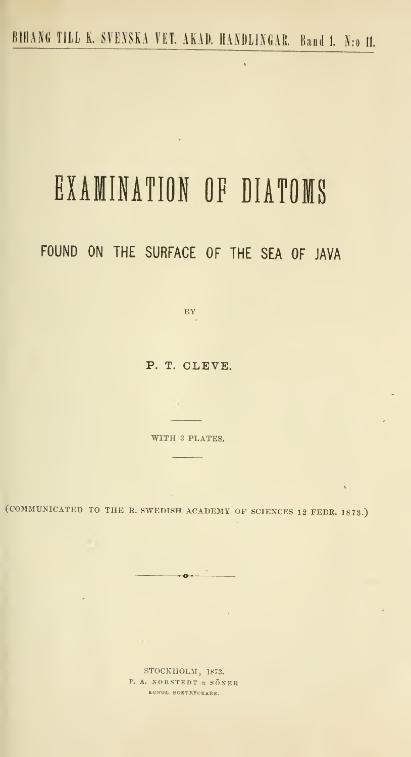$\epsilon$ 

## EXAMINATION OF DIATOMS

 $\sim$ 

## FOUND ON THE SURFACE OF THE SEA OF JAVA

BY

P. T. CLEVE.

WITH <sup>3</sup> PLATES.

(COMMUNICATED TO THE R. SWEDISH ACADEMY OF SCIENCES <sup>12</sup> FEEE. 1873.)

J.

 $\ddot{\phantom{a}}$ 

STOCKHOLM, 1873. P. A. NORSTEDT & SÖNER KONGL. BOKTRYCKARH.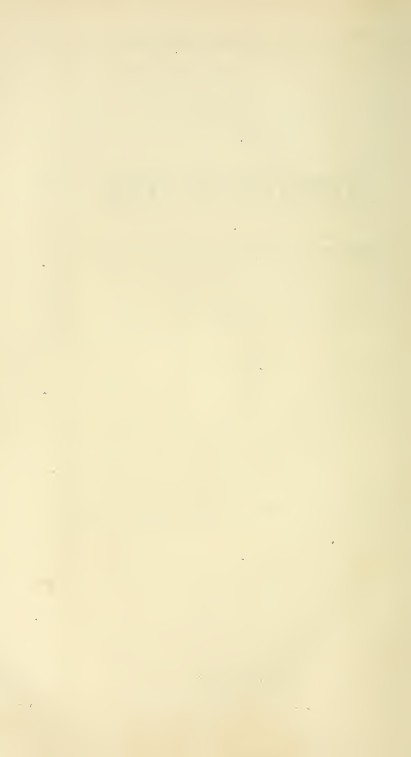$\sim 10^{11}$  M  $_\odot$  $\mathcal{L}^{\text{max}}_{\text{max}}$  ,  $\mathcal{L}^{\text{max}}_{\text{max}}$  $\mathcal{L}^{\text{max}}_{\text{max}}$  $\mathcal{L}^{\text{max}}_{\text{max}}$  , where  $\mathcal{L}^{\text{max}}_{\text{max}}$  $\label{eq:2} \frac{1}{2} \sum_{i=1}^n \frac{1}{2} \sum_{j=1}^n \frac{1}{2} \sum_{j=1}^n \frac{1}{2} \sum_{j=1}^n \frac{1}{2} \sum_{j=1}^n \frac{1}{2} \sum_{j=1}^n \frac{1}{2} \sum_{j=1}^n \frac{1}{2} \sum_{j=1}^n \frac{1}{2} \sum_{j=1}^n \frac{1}{2} \sum_{j=1}^n \frac{1}{2} \sum_{j=1}^n \frac{1}{2} \sum_{j=1}^n \frac{1}{2} \sum_{j=1}^n \frac{1}{$  $\label{eq:2.1} \begin{array}{cc} - & \imath & \imath \\ \end{array}$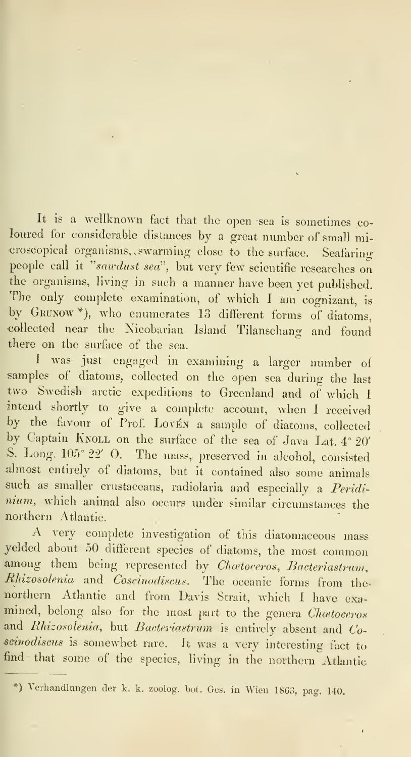It is a wellknown fact that the open sea is sometimes coloured for considcrable distances by <sup>a</sup> great number of small microscopical organisms, . swarming close to the surface. Seafaring people call it "sawdust sea", but very few scientific researches on the organisms, living in such <sup>a</sup> manner have been yet published. The only complete examination, of which <sup>I</sup> am cognizant, is by GRUNOW<sup>\*</sup>), who enumerates 13 different forms of diatoms, collected near the Xicobarian Island Tilanschang and found there on the surface of the sea.

<sup>I</sup> was just engaged in examining <sup>a</sup> larger number of samples of diatoms, collected on the open sea during the last two Swedish arctic expeditions to Greenland and of which <sup>I</sup> intend shortly to give <sup>a</sup> complete account, when <sup>I</sup> received by the favour of Prof. LovÉN a sample of diatoms, collected by Captain KNOLL on the surface of the sea of Java Lat. 4° 20' S. Long.  $105°22'$  O. The mass, preserved in alcohol, consisted almost entirely of diatoms, but it contained also some animals such as smaller crustaceans, radiolaria and especially a Peridinium, which animal also occurs under similar circumstances the northern Atlantic.

A very complete investigation of this diatomaceous mass yelded about 50 different species of diatoms, the most common among them being represented by Chatoceros, Bacteriastrum, Ehizosolenia and Coscinodiscus. The oceanic forms from the northern Atlantic and from Davis Strait, which I have examined, belong also for the most part to the genera Chatoceros and Rhizosolenia, but Bacteriastrum is entirely absent and Coscinodiscus is somewhet rare. It was a very interesting fact to find that some of the species, living in the northern Atlantic

<sup>\*)</sup> Verhandlungen der k. k. zoolog, bot. Ges. in Wien 1863. pag. 140.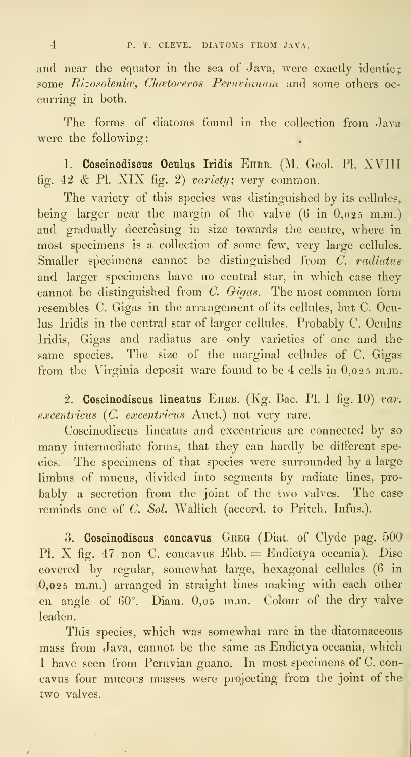and near the equator in the sea of Java, were exactly identic; some Rizosolenia, Chartoceros Peruvianum and some others occurring in both.

The forms of diatoms found in the collection from Java were the following:

1. Coscinodiscus Oculus Iridis EHRB. (M. Geol. Pl. XVIII fig.  $42 \&$  Pl. XIX fig. 2) variety; very common.

The variety of this species was distinguished by its cellules, being larger near the margin of the valve  $(6 \text{ in } 0.025 \text{ m.m.})$ and gradually decreasing in size towards the centre, where in most specimens is a collection of some few, very large cellules. Smaller specimens cannot be distinguished from  $C$ . radiatusand larger specimens have no central star, in which case they cannot be distinguished from  $C$ . Gigas. The most common form resembles C. Gigas in the arrangement of its cellules, but C. Oculus Iridis in the central star of larger cellules. Probably C. Oculus Iridis, Gigas and radiatus are only varieties of one and the same species. The size of the marginal cellules of C. Gigas from the Virginia deposit ware found to be 4 cells in  $0,025$  m.m.

2. Coscinodiscus lineatus EHRB. (Kg. Bac. Pl. I fig. 10)  $var.$ excentricus (C. excentricus Auct.) not very rare.

Coscinodiscus lineatus and excentricus are connected by so many intermediate forms, that they can hardly be different species. The specimens of that species were surrounded by <sup>a</sup>large limbus of mucus, divided into segments by radiate lines, pro bably a secretion from the joint of the two valves. The case reminds one of C. Sol. Wallich (accord. to Pritch. Infus.).

3. Coscinodiscus concavus Greg (Diat. of Clyde pag. 500 Pl. X fig. 47 non C. concavus Ehb. = Endictya oceania). Disc covered by regular, somewhat large, hexagonal cellules (6 in  $(0.025 \text{ m.m.})$  arranged in straight lines making with each other en angle of 60°. Diam. 0,05 m.m. Colour of the dry valve leaden.

This species, which was somewhat rare in the diatomaceous mass from Java, cannot be the same as Endictya oceania, which <sup>I</sup> have seen from Peruvian guano. In most specimens of C. concavus four mucous masses were projecting from the joint of the two valves.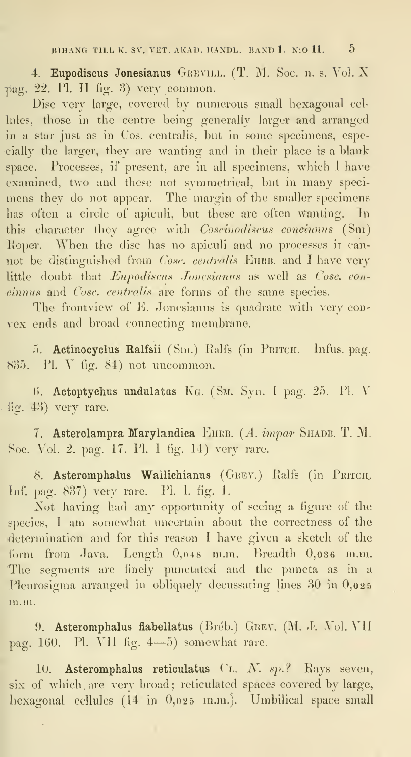4. Eupodiscus Jonesianus GREVILL. (T. M. Soc. n. s. Vol. X  $\beta$ iag. 22. Pl. II fig. 3) very common.

Disc verv large, covered by numerous small hexagonal ccllules, those in the centre being generally larger and arranged in a star just as in Cos. centralis, but in some specimens, especially the larger, they are wanting and in their place is a blank space. Processes, if present, are in all specimens, which I have examined, two and these not symmetrical, but in many specimens they do not appcar. The margin of the smaller specimens has often a circle of apiculi, but these are often wanting. In this character they agree with *Coscinodiscus concinnus* (Sm) Hoper. When the disc has no apiculi and no processes it can not be distinguished from Cose. centralis EHRB. and I have very little doubt that Eupodiscus Jonesianus as well as Cosc. concinnns and Cosc. centralis are forms of the same species.

The frontview of E. Jonesianus is quadrate with very con vex ends and broad connecting membrane.

5. Actinocyclus Ralfsii (Sm.) Ralfs (in PRITCH. Infus. pag. (S35. Pl. Y fig.84) not uncommon.

(5. Actoptychus undulatas Kg. (Sm. Syn. <sup>I</sup> pag. 25. Pl. V lig.  $43$ ) very rare.

7. Asterolampra Marylandica EHRB. (A. impar SHADB. T. M. Soc. Vol. 2. pag. 17. Pl. I fig. 14) very rare.

8. Asteromphalus Wallichianus (GREV.) Ralfs (in PRITCH. Inf. pag. 837) very rare. Pl. I. fig. 1.

Xot having had any opportunity of seeing a figure of the species, I am somewhat uncertain about the correctness of the determination and for this reason I have given a sketch of the form from Java. Length  $0,0.48$  m.m. Breadth  $0,0.36$  m.m. The segments are finely punctated and the puncta as in a Pleurosigma arranged in obliquely decussating lines 30 in 0,025 m.m.

9. Asteromphalus flabellatus (Bréb.) GREV. (M. J. Vol. VII pag. 160. Pl. VII fig.  $4-5$ ) somewhat rare.

10. Asteromphalus reticulatus  $(L, N, sp.$ ? Rays seven, six of which are very broad; reticulated spaces covered by large, hexagonal cellules  $(14 \text{ in } 0,025 \text{ mm.})$ . Umbilical space small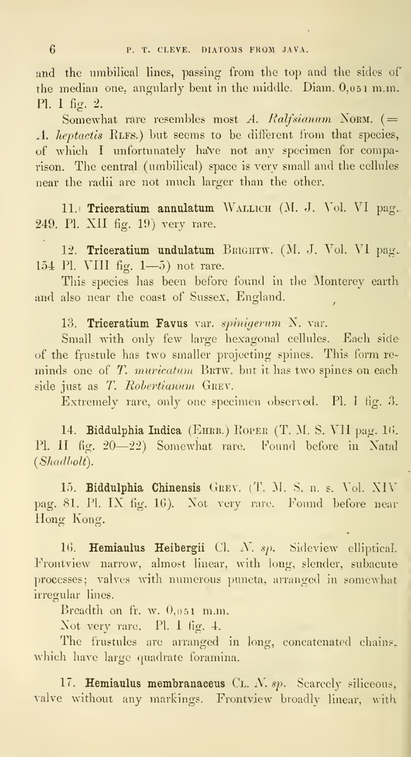and the umbilical lines, passing from the top and the sides of the median one, angularly bent in the middle. Diam.  $0,051$  m.m. Pl. I fig. 2.

Somewhat rare resembles most A. Ralfsianum NoRM.  $($  = A. heptactis RLFs.) but seems to be different from that species, of which <sup>I</sup> unfortunately haVe not any specimen for comparison. The central (umbilical) space is verv small and the ccllules near the radii are not much larger than the other.

11. Triceratium annulatum WALLICH (M. J. Vol. VI pag. 249. Pl. XII fig. 19) very rare.

12. Triceratium undulatum BRIGHTW. (M. J. Vol. VI pag. 154 Pl. VIII fig. 1—5) not rare.

This species has been before found in the Monterey earth and also near the coast of Sussex, England.

13. Triceratium Favus var. spinigerum N. var.

Small with only few large hexagonal cellules. Each side of the frustule has two smaller projecting spines. This form re minds one of T. muricatum BRTW. but it has two spines on each side just as T. Robertianum GREV.

Extremely rare, only one specimen observed. Pl. <sup>I</sup> fig. 3.

14. Biddulphia Indica (EHRB.) ROPER (T. M. S. VII pag. 16. Pl. H fig. 20—22) Somewhat rare. Found before in Natal (Shadbolt).

15. Biddulphia Chinensis GREV. (T. M. S. n. s. Vol. XIV pag. 81. Pl. IX fig. IG). Xot very rare. Found before near Hong Kong.

16. Hemiaulus Heibergii Cl.  $N.$  sp. Sideview elliptical. Frontview narrow, almost linear, with long, slender, subacute processes; valves with numerous puncta, arranged in somewhat irregular lines.

Breadth on fr. w.  $0,051$  m.m.

Xot very rare. Pl. <sup>1</sup> fig. 4.

The frustules are arranged in long, concatenated chains. which have large quadrate foramina.

17. Hemiaulus membranaceus CL. N. sp. Scarcely siliceous, valve without any markings. Frontview broadly linear, with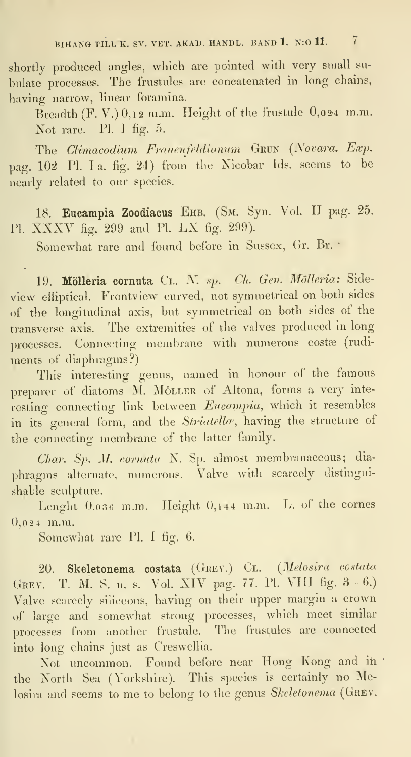shortly produced angles, which are pointed with very small subulate processes. The frustules are concatenated in long chains, having narrow, linear foramina.

Breadth  $(F. V.)$ 0,12 m.m. Height of the frustule 0,024 m.m. Not rare. Pl. 1 fig. 5.

The Climacodium Frauenfeldianum GRUN (Novara. Exp. pag. 102 PL la. fig. 24) from the Nicobar Ids. seems to be nearly related to onr species.

18. Eucampia Zoodiacus Ehb. (Sm. Syn. VoL II pag. 25. Pl. XXXV fig. <sup>299</sup> and PL LX fig. 299).

Somewhat rare and found beforc in Sussex, Gr. Br. •

19. Mölleria cornuta CL. N. sp. Ch. Gen. Mölleria: Sideview ellipticaL Frontview curved, not symmetrical on both sides of the longitudinal axis, but symmetrical on both sides of the transverse axis. The extremities of the valves produced in long processes. Connecting membrane with numerous costae (rudinents of diaphragms?)

This interesting genus, named in honour of the famous preparer of diatoms M. MöLLER of Altona, forms a very interesting connecting link between  $Eucampia$ , which it resembles in its general form, and the Striatella, having the structure of the connecting membrane of the latter family.

Char. Sp. M. cornuta N. Sp. almost membranaceous; diaphragms alternate, numerous. Valve with scarcely distingui shable sculpture.

Lenght  $0.036$  m.m. Height  $0.144$  m.m. L. of the cornes  $0,024 \text{ m.m.}$ 

Somewhat rare Pl. <sup>I</sup> fig. 6.

20. Skeletonema costata (GREV.) CL. (Melosira costata GREV. T. M. S. n. s. Vol. XIV pag. 77. Pl. VIII fig. 3-6.) Valve scarcely siliceous, having on their upper margin <sup>a</sup> crown of large and somewhat strong processes, which meet similar processes from another frustule. The frustules are connected into long chains just as Creswellia.

Not uncommon. Found before near Hong Kong and in the Xorth Sea (Yorkshire). This species is certainly no Melosira and seems to me to belong to the genus Skeletonema (GREV.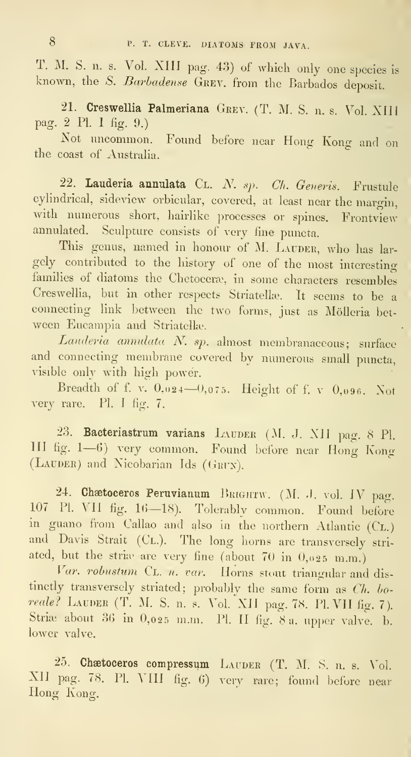T. M. S. n. s. Vol. XIII pag. 43) of which only one species is known, the S. Barbadense GREV. from the Barbados deposit.

21. Creswellia Palmeriana Geev. (T. M. S. n. s. Vol XIII pag. 2 Pl. 1 fig. 9.)

Not uncommon. Found before near Hong Kong and on the coast of Australia.

 $22.$  Lauderia annulata CL. N. sp. Ch. Generis. Frustule cylindrical, sideview orbicular, covered, at least near the margin, with numerous short, hairlike processes or spines. Frontview annulated. Sculpture consists of very fine puncta.

This genus, named in honour of M. LAUDER, who has largely contributed to the history of one of the most interesting families of diatoms the Chetocera, in some characters resembles Creswellia, but in other respects Striatellæ. It seems to be a connecting link between the two forms, just as Mölleria between Eucampia and Striatella.

 $Landeria$  annulata  $N$ . sp. almost membranaceous; surface and connecting membrane covered by numerous small puncta, visible only with high power.

Breadth of f. v.  $0,024-0,075$ . Height of f. v  $0,096$ . Not very rare. Pl. I fig. 7.

23. Bacteriastrum varians LAUDER (M. J. XII pag. 8 Pl. III fig. 1 6) very common. Found before near Hong Kong (LAUDER) and Nicobarian Ids (GRUY).

24. Chætoceros Peruvianum BRIGHTW. (M. J. vol. IV pag. 107 Pl. VII fig. 16—18). Tolerably common. Found before in guano from Callao and also in the northern Atlantic (CL.) and Davis Strait (CL.). The long horns are transversely striated, but the stria- are very fine (about  $70$  in  $0,025$  m.m.)

Var. robustum CL. n. var. Horns stout triangular and distinctly transversely striated; probably the same form as Ch. bo- $\text{reale?}$  LAUDER (T. M. S. n. s. Vol. XII pag. 78. Pl. VII fig. 7). Stria about 36 in 0,025 m.m. Pl. II fig. 8 a. upper valve. b. lower valve.

25. Chætoceros compressum LAUDER (T. M. S. n. s. Vol. XII pag. 78. Pl. Ylll lig. 6) very rare; found before near Hong Kong.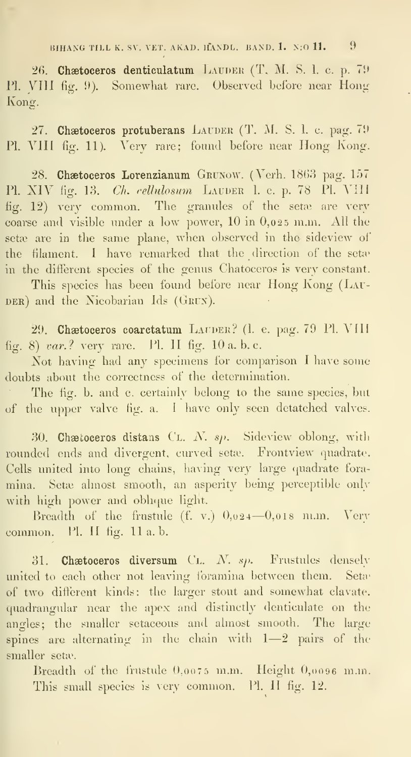26. Chætoceros denticulatum LAUDER (T. M. S. l. c. p. 79 Pl. VIII fig. 9). Somewhat rare. Observed before near Hong Kong.

27. Chætoceros protuberans LAUDER (T. M. S. l. c. pag. 79) Pl. VIII fig. 11). Very rare; found before near Hong Kong.

28. Chætoceros Lorenzianum GRUNOW. (Verh. 1863 pag. 157 Pl. XIV fig. 13. Ch. rellulosum LAUDER 1. c. p. 78 Pl. VIII fig. 12) very common. The granules of the setae are very coarse and visible under a low power,  $10$  in  $0,025$  m.m. All the seta are in the same plane, when observed in the sideview of the filarnent. I have remarked that the direction of the seta' in the different species of the genus Chatoceros is very constant.

This species has been found before near Hong Kong (LAU-DER) and the Nicobarian Ids (GRUN).

29. Chætoceros coarctatum LAUDER? (1. e. pag. 79 Pl. VIII fig. 8) var.? very rare. Pl. II fig. 10 a. b. c.

Not having had any specimens for comparison I have some doubts about the correctness of the determination.

The fig. b. and c. certainly belong to the same species, but of the upper valve fig. a. I have only seen detatched valves.

30. Chaetoceros distans CL.  $N$ .  $sp$ . Sideview oblong, with rounded ends and divergent, curved setae. Frontview quadrate. Cells united into long chains, having very large quadrate foramina. Setae almost smooth, an asperity being perceptible only with high power and oblique light.

Breadth of the frustule  $(f. v.) 0,024-0,018$  m.m. Very common. Pl. II fig. 11 a. b.

31. Chætoceros diversum CL.  $N$ . sp. Frustules densely. united to each other not leaving foramina between them. Setaof two different kinds: the larger stout and somewhat clavate. quadrangular near the apex and distinctly denticulate on the angles; the smaller setaceous and almost smooth. The large spines are alternating in the chain with  $1-2$  pairs of the smaller setay.

Breadth of the frustule 0,0075 m.m. Height 0,0096 m.m. This small species is very common. Pl. II fig. 12.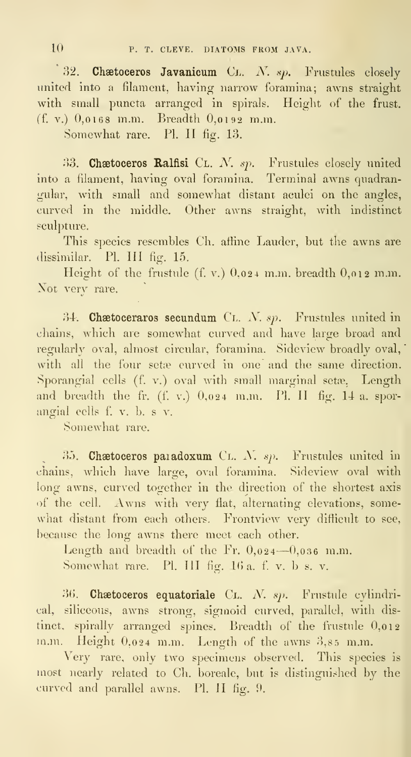$32.$  Chætoceros Javanicum CL. N. sp. Frustules closely united into a filament, having narrow foramina; awns straight with small puncta arranged in spirals. Height of the frust. (f v.) 0,0 168 m.m. Breadth 0,oi92 m.m.

Somewhat rare. Pl. II fig. 13.

33. Chætoceros Ralfisi CL.  $N.$   $sp.$  Frustules closely united  $\blacksquare$ into a filament, having oval foramina. Terminal awns qnadrangular, with small and somewhat distant aculei on the angles, curved in the middle. Other awns straight, with indistinct sculpture.

This species resembles Ch. affine Lauder, but the awns are dissimilar. Pl. III fig. 15.

Height of the frustule  $(f, v, )$  0,024 m.m. breadth 0,012 m.m. Xot verv rare.

34. Chaetoceraros secundum CL. N. sp. Frustules united in chains, which are somewhat curved and have large broad and regularlv oval, almost circular, foramina. Sideview broadly oval, with all the four setae curved in one and the same direction. Sporangial cells (f. v.) oval with small marginal setæ. Length and breadth the fr.  $(f. v.) 0,024$  m.m. Pl. II fig. 14 a. sporangial cells f. v. b. s v.

Somewhat rare.

35. Chætoceros paradoxum CL.  $N$ .  $sp$ . Frustules united in chains, which have large, oval foramina. Sideview oval with long awns, curved together in the direction of the shortest axis of the cell. Awns with very flat, alternating elevations, some what distant from each others. Frontview very difficult to see, because the long awns there meet each other.

Length and breadth of the Fr.  $0,024-0,036$  m.m. Somewhat rare. Pl. III fig. 16 a. f. v. b s. v.

 $36.$  Chætoceros equatoriale CL. N. sp. Frustule cylindrical, siliceous, awns strong, sigmoid curved, parallel, with distinct, spirally arranged spines. Breadth of the frustule 0,012 m.m. Height  $0.024$  m.m. Length of the awns  $3.85$  m.m.

Very rare, only two specimens observed. This species is most nearly related to Ch. boreale, but is distinguished by the curved and parallel awns. Pl. II fig. 9.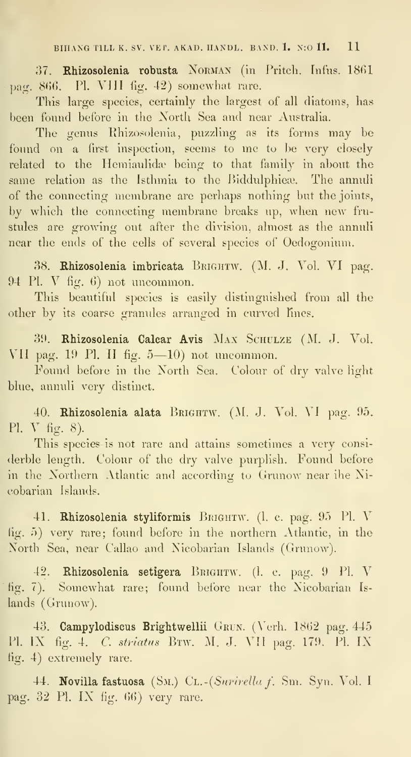## BIIIANG TILL K. SV. VET. AKAD. HANDL. BAND. 1. N:O  $11. 11$

37. Rhizosolenia robusta NORMAN (in Pritch. Infus. 1861) pag. 866. Pl. VHI fig.  $42$ ) somewhat rare.

This large species, certainly the largest of all diatoms, has been found before in the North Sea and near Australia.

The genus Rhizosolenia, puzzling as its forms may be found on <sup>a</sup> first inspcction, seems to me to be very closely related to the Hemiaulida being to that family in about the same relation as the Isthmia to the Biddulphiea. The annuli of the connecting membrane are perhaps nothing but the joints, by which the connecting membrane breaks up, when new frustules are growing out after the division, almost as the annuli ncar the ends of the cells of several species of Oedogonium.

38. Rhizosolenia imbricata BRIGHTW. (M. J. Vol. VI pag. <sup>04</sup> Pl. V hg. G) not uncommon.

This beautiful species is easily distinguished from all the other by its coarse granules arranged in curved lines.

39. Rhizosolenia Calcar Avis Max Schulze (M. J. Vol. VII pag.  $19$  Pl. II fig.  $5-10$ ) not uncommon.

Found before in the North Sea. Colour of dry valve light blue, annuli very distinet.

40. Rhizosolenia alata Brightw. (M. J. Vol. VI pag. 95. Pl. V fig. 8).

This species is not rare and attains sometimes a very consi derble length. Colour of the dry valve purplish. Found before in the Northern Atlantic and according to Grunow near ihe Nicobarian Islands.

41. Rhizosolenia styliformis Brightw. (1. c. pag. <sup>95</sup> Pl. V hg. 5) very rare; found before in the northern Atlantic, in the North Sea, near Callao and Nicobarian Islands (Grunow).

42. Rhizosolenia setigera Brightw. (1. c. pag. <sup>9</sup> Pl. V fig. 7). Somewhat rare; found before near the Nicobarian Islands (Grunow).

43. Campylodiscus Brightwellii GRUN. (Verh. 1862 pag. 445 Pl. IX fig. 4. C. striatus Brw. M. J. VII pag. 179. Pl. IX fig. 4) extremely rare.

44. Novilla fastuosa (SM.) CL.-(Surirella f. Sm. Syn. Vol. I pag.  $32$  Pl. IX fig.  $66$ ) very rare.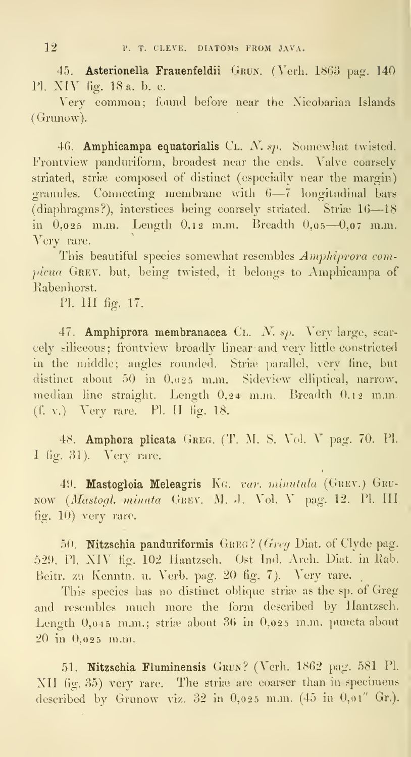45. Asterionella Frauenfeldii GRUN. (Verh. 1863 pag. 140 Pl. XIV fig. 18 a. b. c.

Very common; found before near the Nicobarian Islands (Grunow).

46. Amphicampa equatorialis CL. N. sp. Somewhat twisted. Frontview panduriform, broadest near the ends. Valve coarsely striated, striae composed of distinct (especially near the margin) granules. Connecting membrane with  $6-\tilde{7}$  longitudinal bars (diaphragms?), interstices being coarsely striated. Striæ 16-18 in 0,025 m.m. Length 0.12 m.m. Breadth 0,05-0,07 m.m. Very rare.

This beautiful species somewhat resembles Amphiprora compicua GREV. but, being twisted, it belongs to Amphicampa of Rabenhorst.

Pl. III fig. 17.

47. Amphiprora membranacea CL. N. sp. Very large, scarcely siliceous; frontview broadly linear and very little constricted in the middle; angles rounded. Striæ parallel, very fine, but distinct about 50 in 0,025 m.m. Sideview elliptical, narrow, median line straight. Length 0,24 m.m. Breadth 0.12 m.m.  $(f. v.)$  Very rare. Pl. II fig. 18.

48. Amphora plicata GREG. (T. M. S. Vol. V pag. 70. Pl. I fig. 31). Very rare.

49. Mastogloia Meleagris KG. var. minutula (GREV.) GRU-NOW (Mastogl. minuta GREV. M. J. Vol. V pag. 12. Pl. III fig.  $10$ ) very rare.

50. Nitzschia panduriformis GREG? (Greg Diat. of Clyde pag. 529. Pl. XIV fig. 102 Hantzsch. Ost Ind. Arch. Diat. in Rab. Beitr. zu Kenntn. u. Verb. pag. 20 fig. 7). Very rare.

This species has no distinct oblique striw as the sp. of Greg and resembles much more the form described by Hantzsch. Length 0,045 m.m.; striæ about 36 in 0,025 m.m. puneta about 20 in 0,025 m.m.

51. Nitzschia Fluminensis GRUN? (Verh. 1862 pag. 581 Pl. XII fig. 35) very rare. The striæ are coarser than in specimens described by Grunow viz. 32 in  $0,025$  m.m. (45 in  $0,01$ " Gr.).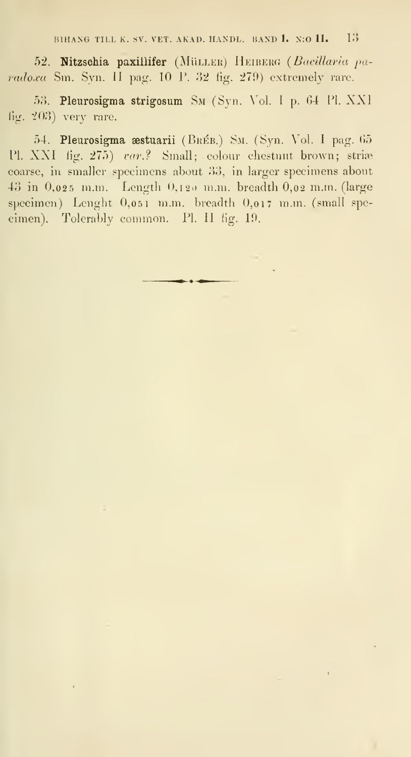52. Nitzschia paxillifer (MüLLER) HEIBERG (Bacillaria paradoxa Sm. Syn. II pag. 10 P. 32 fig. 279) extremely rare.

53. Pleurosigma strigosum SM (Syn. Vol. 1 p. 64 Pl. XXI fig.  $203$ ) very rare.

54. Pleurosigma æstuarii (BRÉB.) SM. (Syn. Vol. I pag. 65 Pl. XXI fig. 275) var.? Small; colour chestnut brown; striæ coarse, in smaller specimens about 33, in larger specimens about 43 in 0,025 m.m. Length 0,120 m.m. breadth 0,02 m.m. (large specimen) Lenght 0,051 m.m. breadth 0,017 m.m. (small specimen). Tolerably common. Pl. II fig. 19.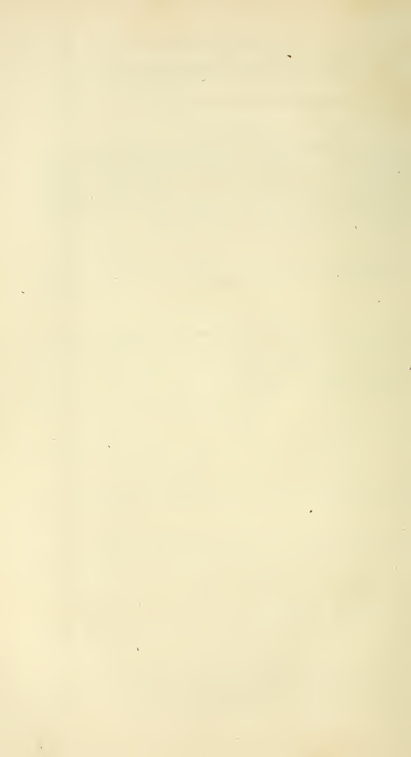$\label{eq:2.1} \mathcal{L}(\mathcal{L}^{\mathcal{L}}_{\mathcal{L}}(\mathcal{L}^{\mathcal{L}}_{\mathcal{L}}(\mathcal{L}^{\mathcal{L}}_{\mathcal{L}}(\mathcal{L}^{\mathcal{L}}_{\mathcal{L}}(\mathcal{L}^{\mathcal{L}}_{\mathcal{L}}(\mathcal{L}^{\mathcal{L}}_{\mathcal{L}}(\mathcal{L}^{\mathcal{L}}_{\mathcal{L}})))$  $\mathcal{L}_{\text{max}}$  ,  $\mathcal{L}_{\text{max}}$  ,  $\mathcal{L}_{\text{max}}$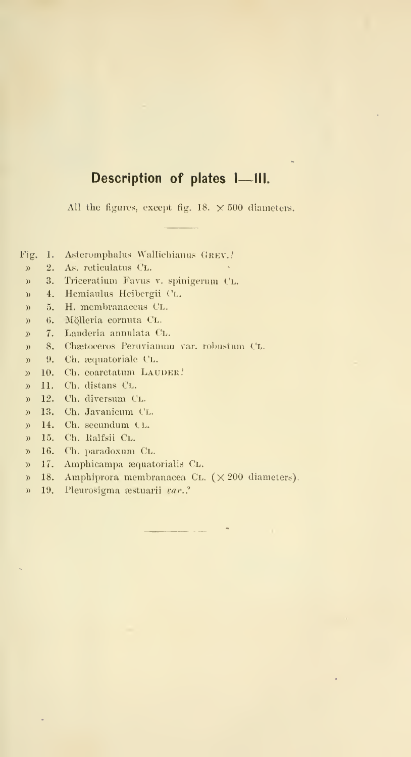## Description of plates I-III.

All the figures, except fig. 18.  $\times$  500 diameters.

- Asteromphalus Wallichianus GREV.? Fig. 1.
	- $\mathcal{D}$  $\overline{2}$ . As. reticulatus CL.
	- 3. Triceratium Favus v. spinigerum CL.  $\mathbf{u}$
	- Hemiaulus Heibergii CL.  $4.$  $\mathbf{D}$
	- $5.$ H. membranaceus CL.  $\mathbf{v}$
	- Mölleria cornuta CL. 6.  $\mathcal{V}$
	- 7. Lauderia annulata CL.  $\mathcal{V}$
	- 8. Chætoeeros Peruvianum var. robustum CL.  $\overline{D}$
	- $9.$ Ch. aequatoriale CL.  $\mathcal{D}$
	- 10. Ch. coarctatum LAUDER?  $\mathcal{Y}$
	- Ch. distans CL.  $\mathcal{D}$  $11.$
	- 12. Ch. diversum CL.  $\mathcal{Y}$
	- 13. Ch. Javanieum CL.  $\mathbf{p}$
	- 14. Ch. secundum CL.  $\mathcal{V}$
	- 15. Ch. Ralfsii CL.  $)$
	- 16. Ch. paradoxum CL.  $\mathcal{D}$
	- $\mathfrak{D}$ 17. Amphicampa æquatorialis CL.
	- Amphiprora membranacea CL. ( $\times$  200 diameters). 18.  $\mathfrak{D}$
	- Pleurosigma æstuarii var.? 19.  $)$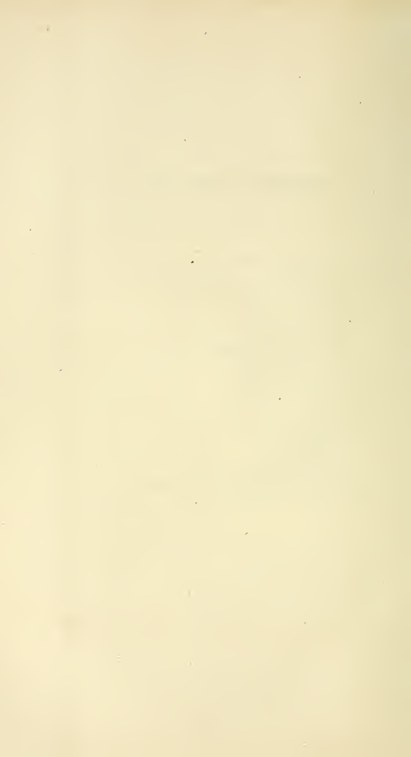$\sim 10^{11}$ 

 $\mathcal{L}_{\mathrm{max}}$  ,  $\mathcal{L}_{\mathrm{max}}$ 

 $\mathcal{L}_{\mathcal{A}}$ 

 $\mathcal{L}(\mathcal{L})$  , and  $\mathcal{L}(\mathcal{L})$  $\label{eq:2} \frac{1}{\sqrt{2}}\int_{0}^{\infty}\frac{dx}{\sqrt{2\pi}}\,dx\leq \frac{1}{\sqrt{2}}\int_{0}^{\infty}\frac{dx}{\sqrt{2\pi}}\,dx$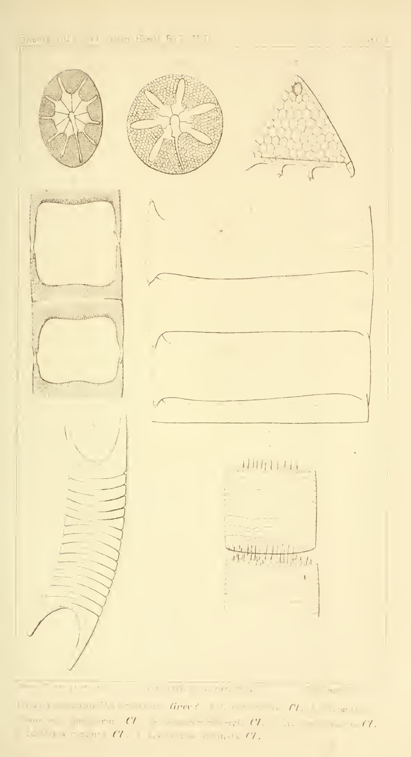















 $\label{eq:2.1} \begin{split} \mathcal{C}(\mathcal{C}) = \mathcal{C}(\mathcal{C}) \left[ \mathcal{C}(\mathcal{C}) \right] \mathcal{C}(\mathcal{C}) = \mathcal{C}(\mathcal{C}) \left[ \mathcal{C}(\mathcal{C}) \right] \mathcal{C}(\mathcal{C}) \mathcal{C}(\mathcal{C}) \mathcal{C}(\mathcal{C}) \mathcal{C}(\mathcal{C}) \mathcal{C}(\mathcal{C}) \mathcal{C}(\mathcal{C}) \mathcal{C}(\mathcal{C}) \mathcal{C}(\mathcal{C}) \mathcal{C}(\mathcal{C}) \mathcal{C}(\mathcal{C})$  $\label{eq:3.1} \mathcal{F}_{\mathcal{D}} = \mathcal{F}_{\mathcal{D}} \otimes \mathcal{F}_{\mathcal{D}}$ Finally, section that we are directly the section of  $\mathcal{C}t$ , the second some var and the contract of the contract of the contract of the CL.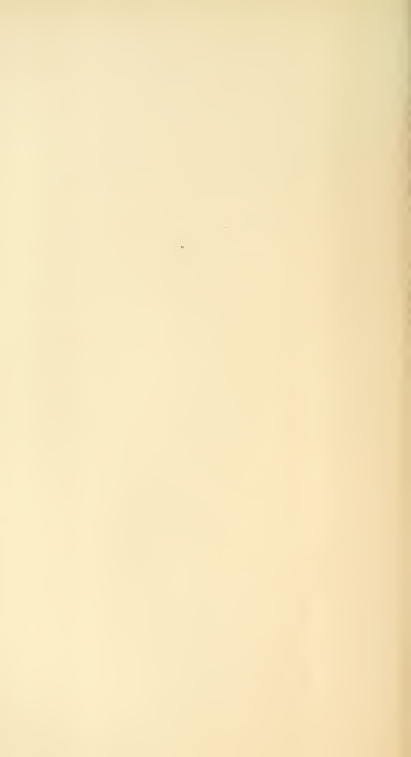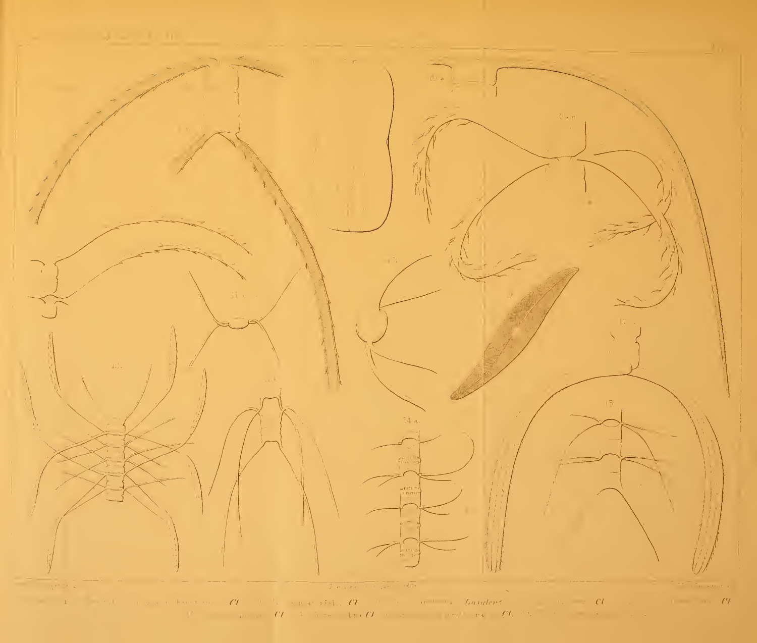



 $\|f\|_{\mathcal{C}^{s,\alpha}(\mathbb{R}^n)}:=\|f\|_{\mathcal{C}^{s,\alpha}(\mathbb{R}^n)}\leq C\|f\|_{\mathcal{C}^{s,\alpha}(\mathbb{R}^n)}\leq C\|f\|_{\mathcal{C}^{s,\alpha}(\mathbb{R}^n)}\leq C\|f\|_{\mathcal{C}^{s,\alpha}(\mathbb{R}^n)}\leq C\|f\|_{\mathcal{C}^{s,\alpha}(\mathbb{R}^n)}\leq C\|f\|_{\mathcal{C}^{s,\alpha}(\mathbb{R}^n)}\leq C\|f\|_{\mathcal{C}^{$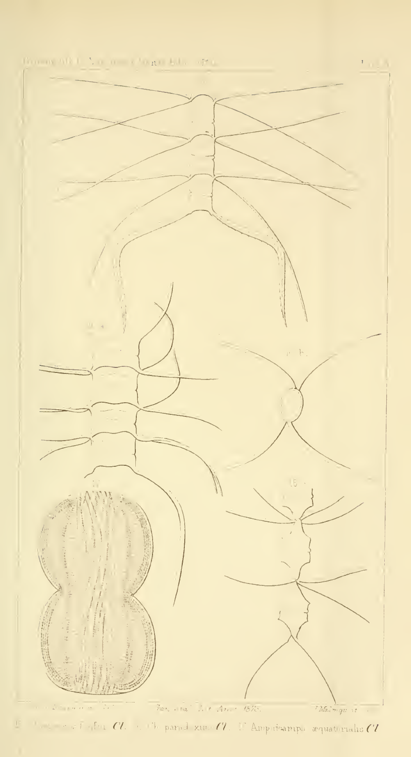![](_page_20_Figure_1.jpeg)

![](_page_20_Figure_2.jpeg)

 $\mathbb{P}^{\mathbb{P}^1}$  and  $\mathbb{P}^1$  of the  $\mathcal{C}U$  and the part  $\mathbb{P}^1$  and  $\mathcal{C}U$ . If Ampiricample acquaterralis  $\mathcal{C}U$